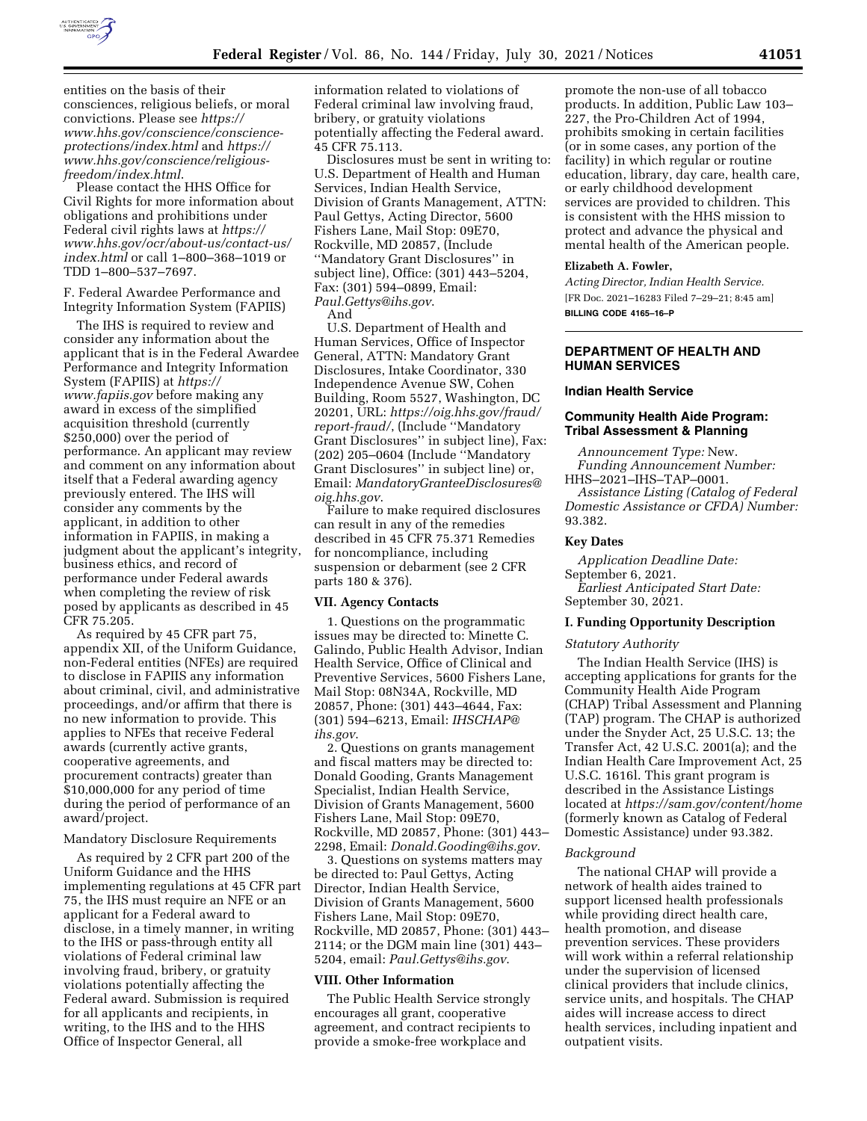

entities on the basis of their consciences, religious beliefs, or moral convictions. Please see *[https://](https://www.hhs.gov/conscience/conscience-protections/index.html) [www.hhs.gov/conscience/conscience](https://www.hhs.gov/conscience/conscience-protections/index.html)[protections/index.html](https://www.hhs.gov/conscience/conscience-protections/index.html)* and *[https://](https://www.hhs.gov/conscience/religious-freedom/index.html) [www.hhs.gov/conscience/religious](https://www.hhs.gov/conscience/religious-freedom/index.html)[freedom/index.html](https://www.hhs.gov/conscience/religious-freedom/index.html)*.

Please contact the HHS Office for Civil Rights for more information about obligations and prohibitions under Federal civil rights laws at *[https://](https://www.hhs.gov/ocr/about-us/contact-us/index.html) [www.hhs.gov/ocr/about-us/contact-us/](https://www.hhs.gov/ocr/about-us/contact-us/index.html)  [index.html](https://www.hhs.gov/ocr/about-us/contact-us/index.html)* or call 1–800–368–1019 or TDD 1–800–537–7697.

F. Federal Awardee Performance and Integrity Information System (FAPIIS)

The IHS is required to review and consider any information about the applicant that is in the Federal Awardee Performance and Integrity Information System (FAPIIS) at *[https://](https://www.fapiis.gov) [www.fapiis.gov](https://www.fapiis.gov)* before making any award in excess of the simplified acquisition threshold (currently \$250,000) over the period of performance. An applicant may review and comment on any information about itself that a Federal awarding agency previously entered. The IHS will consider any comments by the applicant, in addition to other information in FAPIIS, in making a judgment about the applicant's integrity, business ethics, and record of performance under Federal awards when completing the review of risk posed by applicants as described in 45 CFR 75.205.

As required by 45 CFR part 75, appendix XII, of the Uniform Guidance, non-Federal entities (NFEs) are required to disclose in FAPIIS any information about criminal, civil, and administrative proceedings, and/or affirm that there is no new information to provide. This applies to NFEs that receive Federal awards (currently active grants, cooperative agreements, and procurement contracts) greater than \$10,000,000 for any period of time during the period of performance of an award/project.

### Mandatory Disclosure Requirements

As required by 2 CFR part 200 of the Uniform Guidance and the HHS implementing regulations at 45 CFR part 75, the IHS must require an NFE or an applicant for a Federal award to disclose, in a timely manner, in writing to the IHS or pass-through entity all violations of Federal criminal law involving fraud, bribery, or gratuity violations potentially affecting the Federal award. Submission is required for all applicants and recipients, in writing, to the IHS and to the HHS Office of Inspector General, all

information related to violations of Federal criminal law involving fraud, bribery, or gratuity violations potentially affecting the Federal award. 45 CFR 75.113.

Disclosures must be sent in writing to: U.S. Department of Health and Human Services, Indian Health Service, Division of Grants Management, ATTN: Paul Gettys, Acting Director, 5600 Fishers Lane, Mail Stop: 09E70, Rockville, MD 20857, (Include ''Mandatory Grant Disclosures'' in subject line), Office: (301) 443–5204, Fax: (301) 594–0899, Email: *[Paul.Gettys@ihs.gov](mailto:Paul.Gettys@ihs.gov)*. And

U.S. Department of Health and Human Services, Office of Inspector General, ATTN: Mandatory Grant Disclosures, Intake Coordinator, 330 Independence Avenue SW, Cohen Building, Room 5527, Washington, DC 20201, URL: *[https://oig.hhs.gov/fraud/](https://oig.hhs.gov/fraud/report-fraud/)  [report-fraud/](https://oig.hhs.gov/fraud/report-fraud/)*, (Include ''Mandatory Grant Disclosures'' in subject line), Fax: (202) 205–0604 (Include ''Mandatory Grant Disclosures'' in subject line) or, Email: *[MandatoryGranteeDisclosures@](mailto:MandatoryGranteeDisclosures@oig.hhs.gov) [oig.hhs.gov](mailto:MandatoryGranteeDisclosures@oig.hhs.gov)*.

Failure to make required disclosures can result in any of the remedies described in 45 CFR 75.371 Remedies for noncompliance, including suspension or debarment (see 2 CFR parts 180 & 376).

#### **VII. Agency Contacts**

1. Questions on the programmatic issues may be directed to: Minette C. Galindo, Public Health Advisor, Indian Health Service, Office of Clinical and Preventive Services, 5600 Fishers Lane, Mail Stop: 08N34A, Rockville, MD 20857, Phone: (301) 443–4644, Fax: (301) 594–6213, Email: *[IHSCHAP@](mailto:IHSCHAP@ihs.gov) [ihs.gov](mailto:IHSCHAP@ihs.gov)*.

2. Questions on grants management and fiscal matters may be directed to: Donald Gooding, Grants Management Specialist, Indian Health Service, Division of Grants Management, 5600 Fishers Lane, Mail Stop: 09E70, Rockville, MD 20857, Phone: (301) 443– 2298, Email: *[Donald.Gooding@ihs.gov](mailto:Donald.Gooding@ihs.gov)*.

3. Questions on systems matters may be directed to: Paul Gettys, Acting Director, Indian Health Service, Division of Grants Management, 5600 Fishers Lane, Mail Stop: 09E70, Rockville, MD 20857, Phone: (301) 443– 2114; or the DGM main line (301) 443– 5204, email: *[Paul.Gettys@ihs.gov](mailto:Paul.Gettys@ihs.gov)*.

#### **VIII. Other Information**

The Public Health Service strongly encourages all grant, cooperative agreement, and contract recipients to provide a smoke-free workplace and

promote the non-use of all tobacco products. In addition, Public Law 103– 227, the Pro-Children Act of 1994, prohibits smoking in certain facilities (or in some cases, any portion of the facility) in which regular or routine education, library, day care, health care, or early childhood development services are provided to children. This is consistent with the HHS mission to protect and advance the physical and mental health of the American people.

#### **Elizabeth A. Fowler,**

*Acting Director, Indian Health Service.*  [FR Doc. 2021–16283 Filed 7–29–21; 8:45 am] **BILLING CODE 4165–16–P** 

## **DEPARTMENT OF HEALTH AND HUMAN SERVICES**

#### **Indian Health Service**

## **Community Health Aide Program: Tribal Assessment & Planning**

*Announcement Type:* New. *Funding Announcement Number:*  HHS–2021–IHS–TAP–0001. *Assistance Listing (Catalog of Federal Domestic Assistance or CFDA) Number:*  93.382.

#### **Key Dates**

*Application Deadline Date:* 

September 6, 2021. *Earliest Anticipated Start Date:* 

September 30, 2021.

## **I. Funding Opportunity Description**

#### *Statutory Authority*

The Indian Health Service (IHS) is accepting applications for grants for the Community Health Aide Program (CHAP) Tribal Assessment and Planning (TAP) program. The CHAP is authorized under the Snyder Act, 25 U.S.C. 13; the Transfer Act, 42 U.S.C. 2001(a); and the Indian Health Care Improvement Act, 25 U.S.C. 1616l. This grant program is described in the Assistance Listings located at *<https://sam.gov/content/home>* (formerly known as Catalog of Federal Domestic Assistance) under 93.382.

### *Background*

The national CHAP will provide a network of health aides trained to support licensed health professionals while providing direct health care, health promotion, and disease prevention services. These providers will work within a referral relationship under the supervision of licensed clinical providers that include clinics, service units, and hospitals. The CHAP aides will increase access to direct health services, including inpatient and outpatient visits.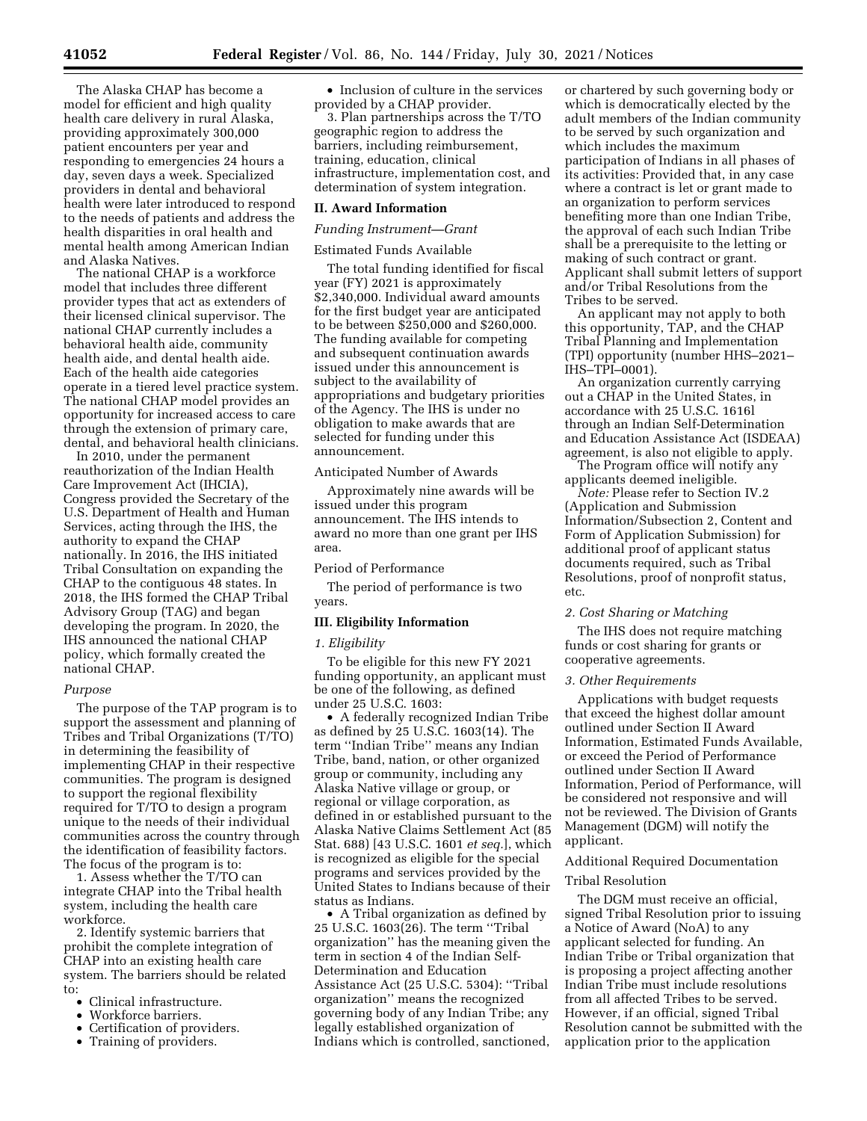The Alaska CHAP has become a model for efficient and high quality health care delivery in rural Alaska, providing approximately 300,000 patient encounters per year and responding to emergencies 24 hours a day, seven days a week. Specialized providers in dental and behavioral health were later introduced to respond to the needs of patients and address the health disparities in oral health and mental health among American Indian and Alaska Natives.

The national CHAP is a workforce model that includes three different provider types that act as extenders of their licensed clinical supervisor. The national CHAP currently includes a behavioral health aide, community health aide, and dental health aide. Each of the health aide categories operate in a tiered level practice system. The national CHAP model provides an opportunity for increased access to care through the extension of primary care, dental, and behavioral health clinicians.

In 2010, under the permanent reauthorization of the Indian Health Care Improvement Act (IHCIA), Congress provided the Secretary of the U.S. Department of Health and Human Services, acting through the IHS, the authority to expand the CHAP nationally. In 2016, the IHS initiated Tribal Consultation on expanding the CHAP to the contiguous 48 states. In 2018, the IHS formed the CHAP Tribal Advisory Group (TAG) and began developing the program. In 2020, the IHS announced the national CHAP policy, which formally created the national CHAP.

## *Purpose*

The purpose of the TAP program is to support the assessment and planning of Tribes and Tribal Organizations (T/TO) in determining the feasibility of implementing CHAP in their respective communities. The program is designed to support the regional flexibility required for T/TO to design a program unique to the needs of their individual communities across the country through the identification of feasibility factors. The focus of the program is to:

1. Assess whether the T/TO can integrate CHAP into the Tribal health system, including the health care workforce.

2. Identify systemic barriers that prohibit the complete integration of CHAP into an existing health care system. The barriers should be related to:

- Clinical infrastructure.
- Workforce barriers.
- Certification of providers.
- Training of providers.

• Inclusion of culture in the services provided by a CHAP provider.

3. Plan partnerships across the T/TO geographic region to address the barriers, including reimbursement, training, education, clinical infrastructure, implementation cost, and determination of system integration.

## **II. Award Information**

### *Funding Instrument—Grant*

## Estimated Funds Available

The total funding identified for fiscal year (FY) 2021 is approximately \$2,340,000. Individual award amounts for the first budget year are anticipated to be between \$250,000 and \$260,000. The funding available for competing and subsequent continuation awards issued under this announcement is subject to the availability of appropriations and budgetary priorities of the Agency. The IHS is under no obligation to make awards that are selected for funding under this announcement.

## Anticipated Number of Awards

Approximately nine awards will be issued under this program announcement. The IHS intends to award no more than one grant per IHS area.

### Period of Performance

The period of performance is two years.

### **III. Eligibility Information**

### *1. Eligibility*

To be eligible for this new FY 2021 funding opportunity, an applicant must be one of the following, as defined under 25 U.S.C. 1603:

• A federally recognized Indian Tribe as defined by 25 U.S.C. 1603(14). The term ''Indian Tribe'' means any Indian Tribe, band, nation, or other organized group or community, including any Alaska Native village or group, or regional or village corporation, as defined in or established pursuant to the Alaska Native Claims Settlement Act (85 Stat. 688) [43 U.S.C. 1601 *et seq.*], which is recognized as eligible for the special programs and services provided by the United States to Indians because of their status as Indians.

• A Tribal organization as defined by 25 U.S.C. 1603(26). The term ''Tribal organization'' has the meaning given the term in section 4 of the Indian Self-Determination and Education Assistance Act (25 U.S.C. 5304): ''Tribal organization'' means the recognized governing body of any Indian Tribe; any legally established organization of Indians which is controlled, sanctioned,

or chartered by such governing body or which is democratically elected by the adult members of the Indian community to be served by such organization and which includes the maximum participation of Indians in all phases of its activities: Provided that, in any case where a contract is let or grant made to an organization to perform services benefiting more than one Indian Tribe, the approval of each such Indian Tribe shall be a prerequisite to the letting or making of such contract or grant. Applicant shall submit letters of support and/or Tribal Resolutions from the Tribes to be served.

An applicant may not apply to both this opportunity, TAP, and the CHAP Tribal Planning and Implementation (TPI) opportunity (number HHS–2021– IHS–TPI–0001).

An organization currently carrying out a CHAP in the United States, in accordance with 25 U.S.C. 1616l through an Indian Self-Determination and Education Assistance Act (ISDEAA) agreement, is also not eligible to apply.

The Program office will notify any applicants deemed ineligible.

*Note:* Please refer to Section IV.2 (Application and Submission Information/Subsection 2, Content and Form of Application Submission) for additional proof of applicant status documents required, such as Tribal Resolutions, proof of nonprofit status, etc.

## *2. Cost Sharing or Matching*

The IHS does not require matching funds or cost sharing for grants or cooperative agreements.

### *3. Other Requirements*

Applications with budget requests that exceed the highest dollar amount outlined under Section II Award Information, Estimated Funds Available, or exceed the Period of Performance outlined under Section II Award Information, Period of Performance, will be considered not responsive and will not be reviewed. The Division of Grants Management (DGM) will notify the applicant.

## Additional Required Documentation

### Tribal Resolution

The DGM must receive an official, signed Tribal Resolution prior to issuing a Notice of Award (NoA) to any applicant selected for funding. An Indian Tribe or Tribal organization that is proposing a project affecting another Indian Tribe must include resolutions from all affected Tribes to be served. However, if an official, signed Tribal Resolution cannot be submitted with the application prior to the application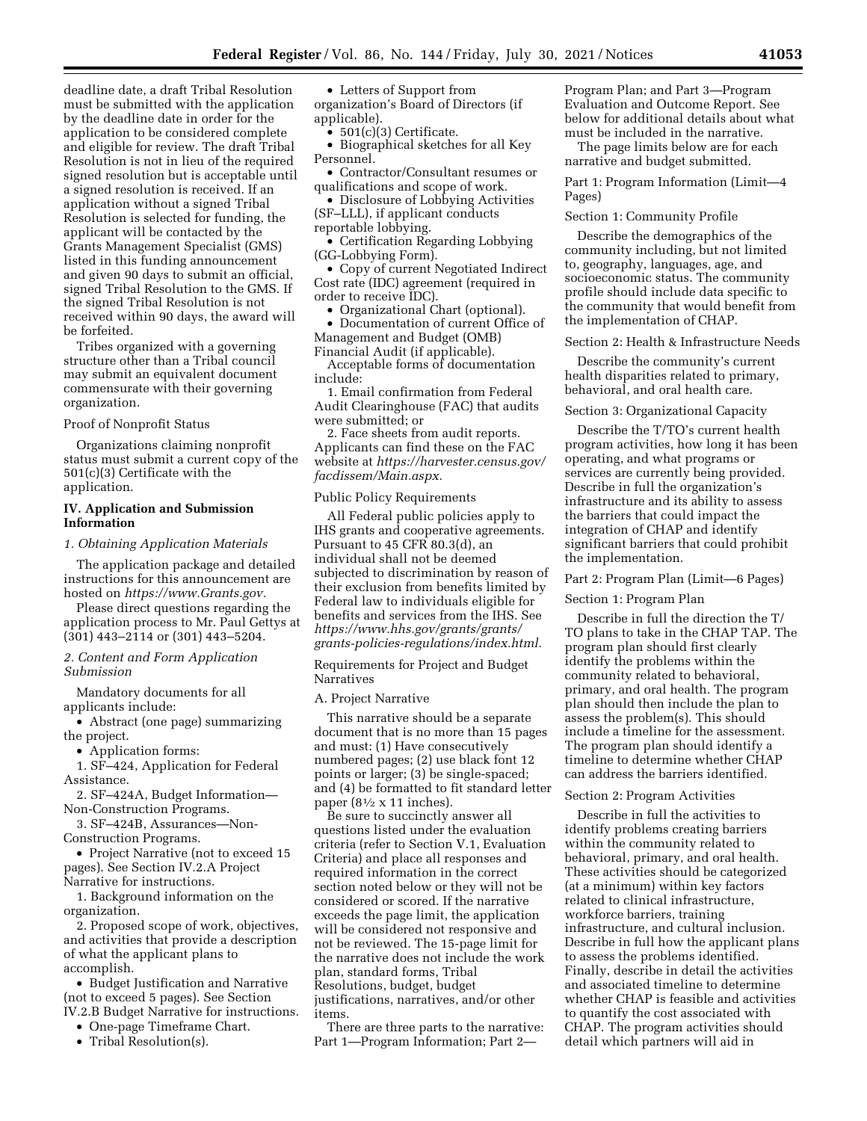deadline date, a draft Tribal Resolution must be submitted with the application by the deadline date in order for the application to be considered complete and eligible for review. The draft Tribal Resolution is not in lieu of the required signed resolution but is acceptable until a signed resolution is received. If an application without a signed Tribal Resolution is selected for funding, the applicant will be contacted by the Grants Management Specialist (GMS) listed in this funding announcement and given 90 days to submit an official, signed Tribal Resolution to the GMS. If the signed Tribal Resolution is not received within 90 days, the award will be forfeited.

Tribes organized with a governing structure other than a Tribal council may submit an equivalent document commensurate with their governing organization.

#### Proof of Nonprofit Status

Organizations claiming nonprofit status must submit a current copy of the 501(c)(3) Certificate with the application.

## **IV. Application and Submission Information**

*1. Obtaining Application Materials* 

The application package and detailed instructions for this announcement are hosted on *[https://www.Grants.gov.](https://www.Grants.gov)* 

Please direct questions regarding the application process to Mr. Paul Gettys at (301) 443–2114 or (301) 443–5204.

## *2. Content and Form Application Submission*

Mandatory documents for all applicants include:

• Abstract (one page) summarizing the project.

• Application forms:

1. SF–424, Application for Federal Assistance.

2. SF–424A, Budget Information— Non-Construction Programs.

3. SF–424B, Assurances—Non-Construction Programs.

• Project Narrative (not to exceed 15 pages). See Section IV.2.A Project Narrative for instructions.

1. Background information on the organization.

2. Proposed scope of work, objectives, and activities that provide a description of what the applicant plans to accomplish.

• Budget Justification and Narrative (not to exceed 5 pages). See Section IV.2.B Budget Narrative for instructions.

• One-page Timeframe Chart.

• Tribal Resolution(s).

• Letters of Support from organization's Board of Directors (if

applicable). •  $501(c)(3)$  Certificate.

• Biographical sketches for all Key Personnel.

• Contractor/Consultant resumes or

- qualifications and scope of work. • Disclosure of Lobbying Activities (SF–LLL), if applicant conducts
- reportable lobbying.

• Certification Regarding Lobbying (GG-Lobbying Form).

• Copy of current Negotiated Indirect Cost rate (IDC) agreement (required in order to receive IDC).

• Organizational Chart (optional).

• Documentation of current Office of Management and Budget (OMB) Financial Audit (if applicable).

Acceptable forms of documentation include:

1. Email confirmation from Federal Audit Clearinghouse (FAC) that audits were submitted; or

2. Face sheets from audit reports. Applicants can find these on the FAC website at *[https://harvester.census.gov/](https://harvester.census.gov/facdissem/Main.aspx) [facdissem/Main.aspx.](https://harvester.census.gov/facdissem/Main.aspx)* 

#### Public Policy Requirements

All Federal public policies apply to IHS grants and cooperative agreements. Pursuant to 45 CFR 80.3(d), an individual shall not be deemed subjected to discrimination by reason of their exclusion from benefits limited by Federal law to individuals eligible for benefits and services from the IHS. See *[https://www.hhs.gov/grants/grants/](https://www.hhs.gov/grants/grants/grants-policies-regulations/index.html)  [grants-policies-regulations/index.html.](https://www.hhs.gov/grants/grants/grants-policies-regulations/index.html)* 

Requirements for Project and Budget Narratives

### A. Project Narrative

This narrative should be a separate document that is no more than 15 pages and must: (1) Have consecutively numbered pages; (2) use black font 12 points or larger; (3) be single-spaced; and (4) be formatted to fit standard letter paper ( $8\frac{1}{2} \times 11$  inches).

Be sure to succinctly answer all questions listed under the evaluation criteria (refer to Section V.1, Evaluation Criteria) and place all responses and required information in the correct section noted below or they will not be considered or scored. If the narrative exceeds the page limit, the application will be considered not responsive and not be reviewed. The 15-page limit for the narrative does not include the work plan, standard forms, Tribal Resolutions, budget, budget justifications, narratives, and/or other items.

There are three parts to the narrative: Part 1—Program Information; Part 2—

Program Plan; and Part 3—Program Evaluation and Outcome Report. See below for additional details about what must be included in the narrative.

The page limits below are for each narrative and budget submitted.

Part 1: Program Information (Limit—4 Pages)

Section 1: Community Profile

Describe the demographics of the community including, but not limited to, geography, languages, age, and socioeconomic status. The community profile should include data specific to the community that would benefit from the implementation of CHAP.

Section 2: Health & Infrastructure Needs

Describe the community's current health disparities related to primary, behavioral, and oral health care.

#### Section 3: Organizational Capacity

Describe the T/TO's current health program activities, how long it has been operating, and what programs or services are currently being provided. Describe in full the organization's infrastructure and its ability to assess the barriers that could impact the integration of CHAP and identify significant barriers that could prohibit the implementation.

## Part 2: Program Plan (Limit—6 Pages)

Section 1: Program Plan

Describe in full the direction the T/ TO plans to take in the CHAP TAP. The program plan should first clearly identify the problems within the community related to behavioral, primary, and oral health. The program plan should then include the plan to assess the problem(s). This should include a timeline for the assessment. The program plan should identify a timeline to determine whether CHAP can address the barriers identified.

## Section 2: Program Activities

Describe in full the activities to identify problems creating barriers within the community related to behavioral, primary, and oral health. These activities should be categorized (at a minimum) within key factors related to clinical infrastructure, workforce barriers, training infrastructure, and cultural inclusion. Describe in full how the applicant plans to assess the problems identified. Finally, describe in detail the activities and associated timeline to determine whether CHAP is feasible and activities to quantify the cost associated with CHAP. The program activities should detail which partners will aid in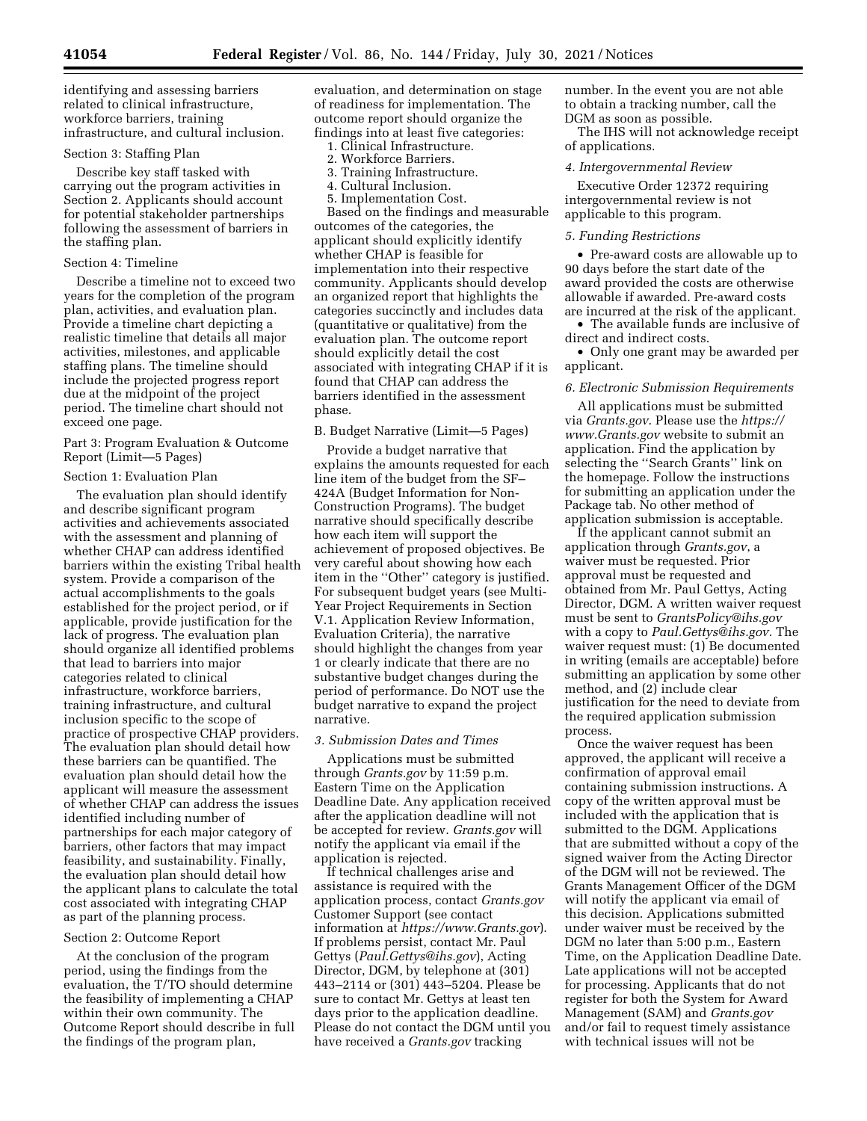identifying and assessing barriers related to clinical infrastructure, workforce barriers, training infrastructure, and cultural inclusion.

#### Section 3: Staffing Plan

Describe key staff tasked with carrying out the program activities in Section 2. Applicants should account for potential stakeholder partnerships following the assessment of barriers in the staffing plan.

### Section 4: Timeline

Describe a timeline not to exceed two years for the completion of the program plan, activities, and evaluation plan. Provide a timeline chart depicting a realistic timeline that details all major activities, milestones, and applicable staffing plans. The timeline should include the projected progress report due at the midpoint of the project period. The timeline chart should not exceed one page.

Part 3: Program Evaluation & Outcome Report (Limit—5 Pages)

#### Section 1: Evaluation Plan

The evaluation plan should identify and describe significant program activities and achievements associated with the assessment and planning of whether CHAP can address identified barriers within the existing Tribal health system. Provide a comparison of the actual accomplishments to the goals established for the project period, or if applicable, provide justification for the lack of progress. The evaluation plan should organize all identified problems that lead to barriers into major categories related to clinical infrastructure, workforce barriers, training infrastructure, and cultural inclusion specific to the scope of practice of prospective CHAP providers. The evaluation plan should detail how these barriers can be quantified. The evaluation plan should detail how the applicant will measure the assessment of whether CHAP can address the issues identified including number of partnerships for each major category of barriers, other factors that may impact feasibility, and sustainability. Finally, the evaluation plan should detail how the applicant plans to calculate the total cost associated with integrating CHAP as part of the planning process.

### Section 2: Outcome Report

At the conclusion of the program period, using the findings from the evaluation, the T/TO should determine the feasibility of implementing a CHAP within their own community. The Outcome Report should describe in full the findings of the program plan,

evaluation, and determination on stage of readiness for implementation. The outcome report should organize the findings into at least five categories:

- 1. Clinical Infrastructure.
- 2. Workforce Barriers.
- 3. Training Infrastructure.
- 4. Cultural Inclusion.
- 5. Implementation Cost.

Based on the findings and measurable outcomes of the categories, the applicant should explicitly identify whether CHAP is feasible for implementation into their respective community. Applicants should develop an organized report that highlights the categories succinctly and includes data (quantitative or qualitative) from the evaluation plan. The outcome report should explicitly detail the cost associated with integrating CHAP if it is found that CHAP can address the barriers identified in the assessment phase.

B. Budget Narrative (Limit—5 Pages)

Provide a budget narrative that explains the amounts requested for each line item of the budget from the SF– 424A (Budget Information for Non-Construction Programs). The budget narrative should specifically describe how each item will support the achievement of proposed objectives. Be very careful about showing how each item in the "Other" category is justified. For subsequent budget years (see Multi-Year Project Requirements in Section V.1. Application Review Information, Evaluation Criteria), the narrative should highlight the changes from year 1 or clearly indicate that there are no substantive budget changes during the period of performance. Do NOT use the budget narrative to expand the project narrative.

### *3. Submission Dates and Times*

Applications must be submitted through *Grants.gov* by 11:59 p.m. Eastern Time on the Application Deadline Date. Any application received after the application deadline will not be accepted for review. *Grants.gov* will notify the applicant via email if the application is rejected.

If technical challenges arise and assistance is required with the application process, contact *Grants.gov*  Customer Support (see contact information at *<https://www.Grants.gov>*). If problems persist, contact Mr. Paul Gettys (*[Paul.Gettys@ihs.gov](mailto:Paul.Gettys@ihs.gov)*), Acting Director, DGM, by telephone at (301) 443–2114 or (301) 443–5204. Please be sure to contact Mr. Gettys at least ten days prior to the application deadline. Please do not contact the DGM until you have received a *Grants.gov* tracking

number. In the event you are not able to obtain a tracking number, call the DGM as soon as possible.

The IHS will not acknowledge receipt of applications.

#### *4. Intergovernmental Review*

Executive Order 12372 requiring intergovernmental review is not applicable to this program.

### *5. Funding Restrictions*

• Pre-award costs are allowable up to 90 days before the start date of the award provided the costs are otherwise allowable if awarded. Pre-award costs are incurred at the risk of the applicant.

• The available funds are inclusive of direct and indirect costs.

• Only one grant may be awarded per applicant.

#### *6. Electronic Submission Requirements*

All applications must be submitted via *Grants.gov*. Please use the *[https://](https://www.Grants.gov) [www.Grants.gov](https://www.Grants.gov)* website to submit an application. Find the application by selecting the ''Search Grants'' link on the homepage. Follow the instructions for submitting an application under the Package tab. No other method of application submission is acceptable.

If the applicant cannot submit an application through *Grants.gov*, a waiver must be requested. Prior approval must be requested and obtained from Mr. Paul Gettys, Acting Director, DGM. A written waiver request must be sent to *[GrantsPolicy@ihs.gov](mailto:GrantsPolicy@ihs.gov)*  with a copy to *[Paul.Gettys@ihs.gov.](mailto:Paul.Gettys@ihs.gov)* The waiver request must: (1) Be documented in writing (emails are acceptable) before submitting an application by some other method, and (2) include clear justification for the need to deviate from the required application submission process.

Once the waiver request has been approved, the applicant will receive a confirmation of approval email containing submission instructions. A copy of the written approval must be included with the application that is submitted to the DGM. Applications that are submitted without a copy of the signed waiver from the Acting Director of the DGM will not be reviewed. The Grants Management Officer of the DGM will notify the applicant via email of this decision. Applications submitted under waiver must be received by the DGM no later than 5:00 p.m., Eastern Time, on the Application Deadline Date. Late applications will not be accepted for processing. Applicants that do not register for both the System for Award Management (SAM) and *Grants.gov*  and/or fail to request timely assistance with technical issues will not be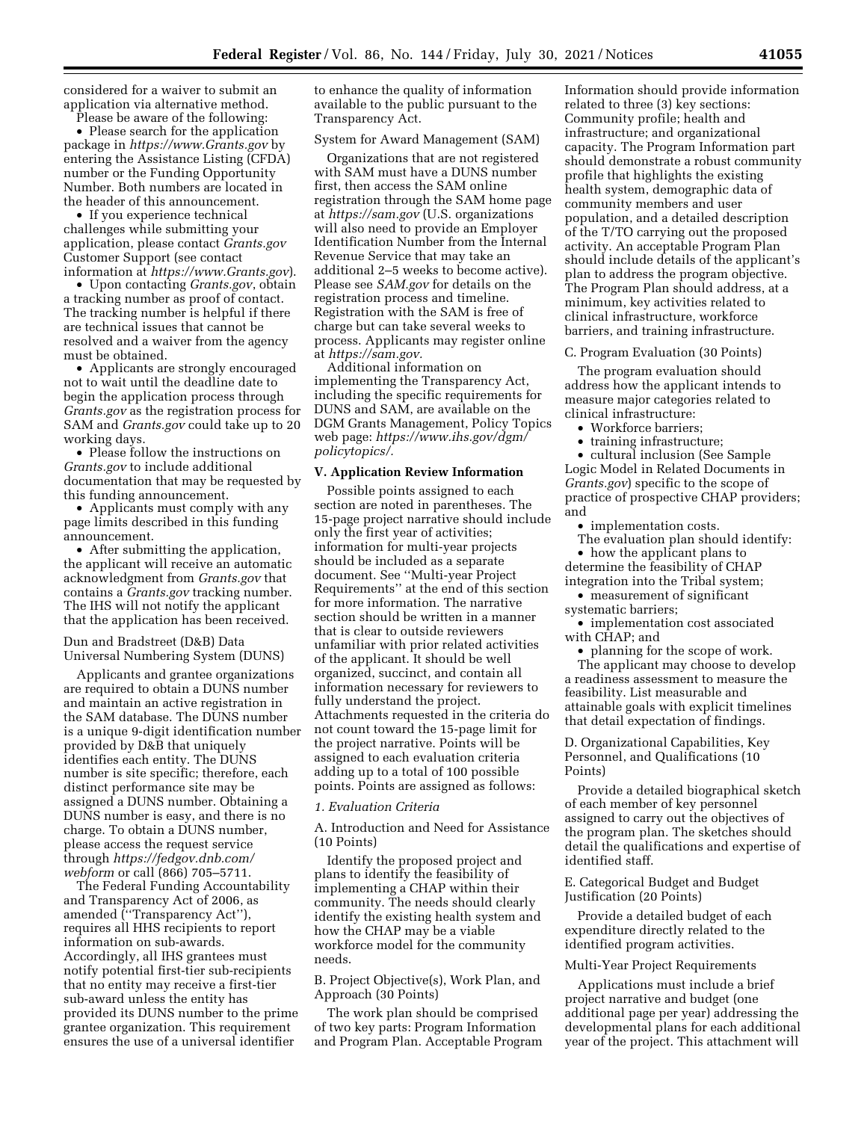considered for a waiver to submit an application via alternative method.

Please be aware of the following:

• Please search for the application package in *<https://www.Grants.gov>* by entering the Assistance Listing (CFDA) number or the Funding Opportunity Number. Both numbers are located in the header of this announcement.

• If you experience technical challenges while submitting your application, please contact *Grants.gov*  Customer Support (see contact information at *<https://www.Grants.gov>*).

• Upon contacting *Grants.gov*, obtain a tracking number as proof of contact. The tracking number is helpful if there are technical issues that cannot be resolved and a waiver from the agency must be obtained.

• Applicants are strongly encouraged not to wait until the deadline date to begin the application process through *Grants.gov* as the registration process for SAM and *Grants.gov* could take up to 20 working days.

• Please follow the instructions on *Grants.gov* to include additional documentation that may be requested by this funding announcement.

• Applicants must comply with any page limits described in this funding announcement.

• After submitting the application, the applicant will receive an automatic acknowledgment from *Grants.gov* that contains a *Grants.gov* tracking number. The IHS will not notify the applicant that the application has been received.

Dun and Bradstreet (D&B) Data Universal Numbering System (DUNS)

Applicants and grantee organizations are required to obtain a DUNS number and maintain an active registration in the SAM database. The DUNS number is a unique 9-digit identification number provided by D&B that uniquely identifies each entity. The DUNS number is site specific; therefore, each distinct performance site may be assigned a DUNS number. Obtaining a DUNS number is easy, and there is no charge. To obtain a DUNS number, please access the request service through *[https://fedgov.dnb.com/](https://fedgov.dnb.com/webform)  [webform](https://fedgov.dnb.com/webform)* or call (866) 705–5711.

The Federal Funding Accountability and Transparency Act of 2006, as amended (''Transparency Act''), requires all HHS recipients to report information on sub-awards. Accordingly, all IHS grantees must notify potential first-tier sub-recipients that no entity may receive a first-tier sub-award unless the entity has provided its DUNS number to the prime grantee organization. This requirement ensures the use of a universal identifier

to enhance the quality of information available to the public pursuant to the Transparency Act.

#### System for Award Management (SAM)

Organizations that are not registered with SAM must have a DUNS number first, then access the SAM online registration through the SAM home page at *<https://sam.gov>* (U.S. organizations will also need to provide an Employer Identification Number from the Internal Revenue Service that may take an additional 2–5 weeks to become active). Please see *SAM.gov* for details on the registration process and timeline. Registration with the SAM is free of charge but can take several weeks to process. Applicants may register online at *[https://sam.gov.](https://sam.gov)* 

Additional information on implementing the Transparency Act, including the specific requirements for DUNS and SAM, are available on the DGM Grants Management, Policy Topics web page: *[https://www.ihs.gov/dgm/](https://www.ihs.gov/dgm/policytopics/)  [policytopics/.](https://www.ihs.gov/dgm/policytopics/)* 

## **V. Application Review Information**

Possible points assigned to each section are noted in parentheses. The 15-page project narrative should include only the first year of activities; information for multi-year projects should be included as a separate document. See ''Multi-year Project Requirements'' at the end of this section for more information. The narrative section should be written in a manner that is clear to outside reviewers unfamiliar with prior related activities of the applicant. It should be well organized, succinct, and contain all information necessary for reviewers to fully understand the project. Attachments requested in the criteria do not count toward the 15-page limit for the project narrative. Points will be assigned to each evaluation criteria adding up to a total of 100 possible points. Points are assigned as follows:

# *1. Evaluation Criteria*

A. Introduction and Need for Assistance (10 Points)

Identify the proposed project and plans to identify the feasibility of implementing a CHAP within their community. The needs should clearly identify the existing health system and how the CHAP may be a viable workforce model for the community needs.

B. Project Objective(s), Work Plan, and Approach (30 Points)

The work plan should be comprised of two key parts: Program Information and Program Plan. Acceptable Program Information should provide information related to three (3) key sections: Community profile; health and infrastructure; and organizational capacity. The Program Information part should demonstrate a robust community profile that highlights the existing health system, demographic data of community members and user population, and a detailed description of the T/TO carrying out the proposed activity. An acceptable Program Plan should include details of the applicant's plan to address the program objective. The Program Plan should address, at a minimum, key activities related to clinical infrastructure, workforce barriers, and training infrastructure.

C. Program Evaluation (30 Points)

The program evaluation should address how the applicant intends to measure major categories related to clinical infrastructure:

- Workforce barriers
- training infrastructure;

• cultural inclusion (See Sample Logic Model in Related Documents in *Grants.gov*) specific to the scope of practice of prospective CHAP providers; and

• implementation costs.

The evaluation plan should identify: • how the applicant plans to determine the feasibility of CHAP

integration into the Tribal system; • measurement of significant

systematic barriers;

• implementation cost associated with CHAP; and

• planning for the scope of work. The applicant may choose to develop a readiness assessment to measure the feasibility. List measurable and attainable goals with explicit timelines that detail expectation of findings.

D. Organizational Capabilities, Key Personnel, and Qualifications (10 Points)

Provide a detailed biographical sketch of each member of key personnel assigned to carry out the objectives of the program plan. The sketches should detail the qualifications and expertise of identified staff.

E. Categorical Budget and Budget Justification (20 Points)

Provide a detailed budget of each expenditure directly related to the identified program activities.

# Multi-Year Project Requirements

Applications must include a brief project narrative and budget (one additional page per year) addressing the developmental plans for each additional year of the project. This attachment will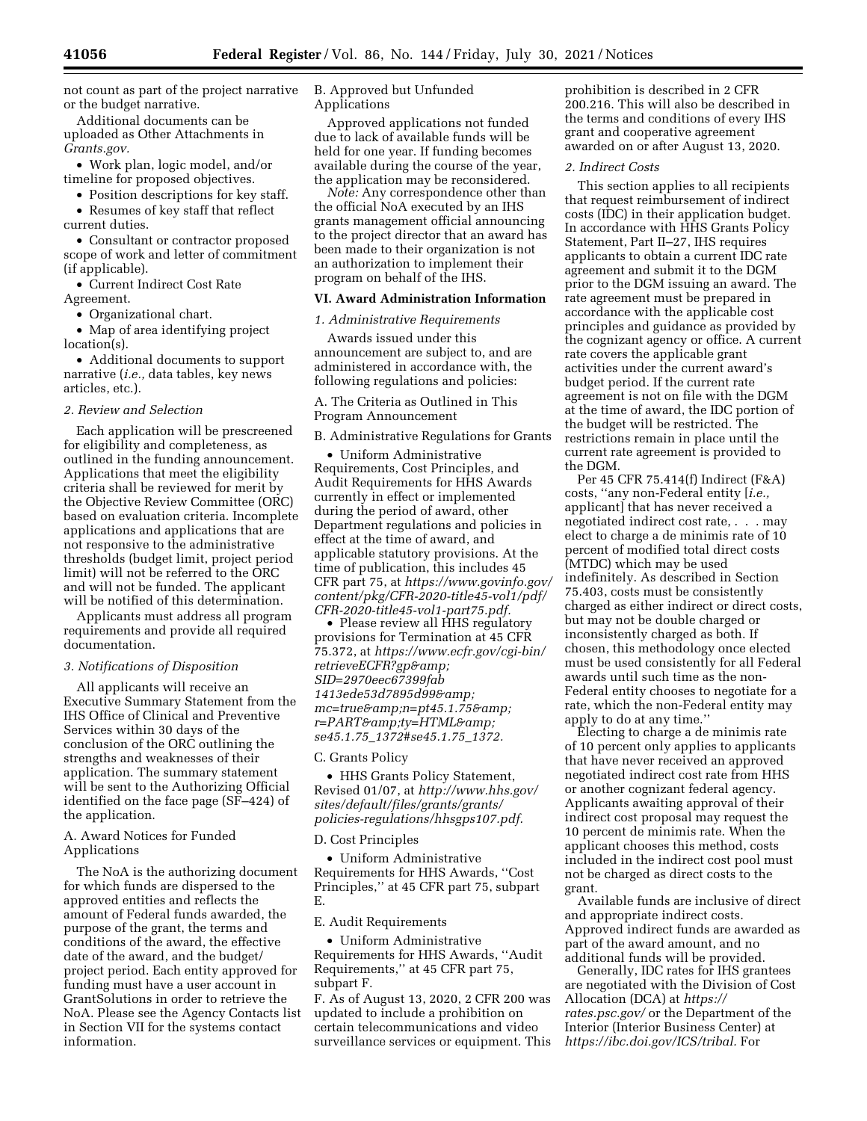not count as part of the project narrative or the budget narrative.

Additional documents can be uploaded as Other Attachments in *Grants.gov.* 

• Work plan, logic model, and/or timeline for proposed objectives.

• Position descriptions for key staff. • Resumes of key staff that reflect

current duties.

• Consultant or contractor proposed scope of work and letter of commitment (if applicable).

• Current Indirect Cost Rate Agreement.

• Organizational chart.

• Map of area identifying project location(s).

• Additional documents to support narrative (*i.e.,* data tables, key news articles, etc.).

### *2. Review and Selection*

Each application will be prescreened for eligibility and completeness, as outlined in the funding announcement. Applications that meet the eligibility criteria shall be reviewed for merit by the Objective Review Committee (ORC) based on evaluation criteria. Incomplete applications and applications that are not responsive to the administrative thresholds (budget limit, project period limit) will not be referred to the ORC and will not be funded. The applicant will be notified of this determination.

Applicants must address all program requirements and provide all required documentation.

## *3. Notifications of Disposition*

All applicants will receive an Executive Summary Statement from the IHS Office of Clinical and Preventive Services within 30 days of the conclusion of the ORC outlining the strengths and weaknesses of their application. The summary statement will be sent to the Authorizing Official identified on the face page (SF–424) of the application.

## A. Award Notices for Funded Applications

The NoA is the authorizing document for which funds are dispersed to the approved entities and reflects the amount of Federal funds awarded, the purpose of the grant, the terms and conditions of the award, the effective date of the award, and the budget/ project period. Each entity approved for funding must have a user account in GrantSolutions in order to retrieve the NoA. Please see the Agency Contacts list in Section VII for the systems contact information.

B. Approved but Unfunded Applications

Approved applications not funded due to lack of available funds will be held for one year. If funding becomes available during the course of the year, the application may be reconsidered.

*Note:* Any correspondence other than the official NoA executed by an IHS grants management official announcing to the project director that an award has been made to their organization is not an authorization to implement their program on behalf of the IHS.

## **VI. Award Administration Information**

# *1. Administrative Requirements*

Awards issued under this announcement are subject to, and are administered in accordance with, the following regulations and policies:

A. The Criteria as Outlined in This Program Announcement

B. Administrative Regulations for Grants

• Uniform Administrative Requirements, Cost Principles, and Audit Requirements for HHS Awards currently in effect or implemented during the period of award, other Department regulations and policies in effect at the time of award, and applicable statutory provisions. At the time of publication, this includes 45 CFR part 75, at *[https://www.govinfo.gov/](https://www.govinfo.gov/content/pkg/CFR-2020-title45-vol1/pdf/CFR-2020-title45-vol1-part75.pdf) [content/pkg/CFR-2020-title45-vol1/pdf/](https://www.govinfo.gov/content/pkg/CFR-2020-title45-vol1/pdf/CFR-2020-title45-vol1-part75.pdf) [CFR-2020-title45-vol1-part75.pdf.](https://www.govinfo.gov/content/pkg/CFR-2020-title45-vol1/pdf/CFR-2020-title45-vol1-part75.pdf)* 

• Please review all HHS regulatory provisions for Termination at 45 CFR 75.372, at *[https://www.ecfr.gov/cgi-bin/](https://www.ecfr.gov/cgi-bin/retrieveECFR?gp&SID=2970eec67399fab1413ede53d7895d99&mc=true&n=pt45.1.75&r=PART&ty=HTML&se45.1.75_1372#se45.1.75_1372) retrieveECFR?gp& [SID=2970eec67399fab](https://www.ecfr.gov/cgi-bin/retrieveECFR?gp&SID=2970eec67399fab1413ede53d7895d99&mc=true&n=pt45.1.75&r=PART&ty=HTML&se45.1.75_1372#se45.1.75_1372) [1413ede53d7895d99&](https://www.ecfr.gov/cgi-bin/retrieveECFR?gp&SID=2970eec67399fab1413ede53d7895d99&mc=true&n=pt45.1.75&r=PART&ty=HTML&se45.1.75_1372#se45.1.75_1372) [mc=true&n=pt45.1.75&](https://www.ecfr.gov/cgi-bin/retrieveECFR?gp&SID=2970eec67399fab1413ede53d7895d99&mc=true&n=pt45.1.75&r=PART&ty=HTML&se45.1.75_1372#se45.1.75_1372) r=PART&ty=HTML& se45.1.75*\_*1372#se45.1.75*\_*1372.* 

#### C. Grants Policy

• HHS Grants Policy Statement, Revised 01/07, at *[http://www.hhs.gov/](http://www.hhs.gov/sites/default/files/grants/grants/policies-regulations/hhsgps107.pdf) [sites/default/files/grants/grants/](http://www.hhs.gov/sites/default/files/grants/grants/policies-regulations/hhsgps107.pdf) [policies-regulations/hhsgps107.pdf.](http://www.hhs.gov/sites/default/files/grants/grants/policies-regulations/hhsgps107.pdf)* 

### D. Cost Principles

• Uniform Administrative Requirements for HHS Awards, ''Cost Principles,'' at 45 CFR part 75, subpart E.

#### E. Audit Requirements

• Uniform Administrative Requirements for HHS Awards, ''Audit Requirements,'' at 45 CFR part 75, subpart F.

F. As of August 13, 2020, 2 CFR 200 was updated to include a prohibition on certain telecommunications and video surveillance services or equipment. This

prohibition is described in 2 CFR 200.216. This will also be described in the terms and conditions of every IHS grant and cooperative agreement awarded on or after August 13, 2020.

#### *2. Indirect Costs*

This section applies to all recipients that request reimbursement of indirect costs (IDC) in their application budget. In accordance with HHS Grants Policy Statement, Part II–27, IHS requires applicants to obtain a current IDC rate agreement and submit it to the DGM prior to the DGM issuing an award. The rate agreement must be prepared in accordance with the applicable cost principles and guidance as provided by the cognizant agency or office. A current rate covers the applicable grant activities under the current award's budget period. If the current rate agreement is not on file with the DGM at the time of award, the IDC portion of the budget will be restricted. The restrictions remain in place until the current rate agreement is provided to the DGM.

Per 45 CFR 75.414(f) Indirect (F&A) costs, ''any non-Federal entity [*i.e.,*  applicant] that has never received a negotiated indirect cost rate, . . . may elect to charge a de minimis rate of 10 percent of modified total direct costs (MTDC) which may be used indefinitely. As described in Section 75.403, costs must be consistently charged as either indirect or direct costs, but may not be double charged or inconsistently charged as both. If chosen, this methodology once elected must be used consistently for all Federal awards until such time as the non-Federal entity chooses to negotiate for a rate, which the non-Federal entity may apply to do at any time.''

Electing to charge a de minimis rate of 10 percent only applies to applicants that have never received an approved negotiated indirect cost rate from HHS or another cognizant federal agency. Applicants awaiting approval of their indirect cost proposal may request the 10 percent de minimis rate. When the applicant chooses this method, costs included in the indirect cost pool must not be charged as direct costs to the grant.

Available funds are inclusive of direct and appropriate indirect costs. Approved indirect funds are awarded as part of the award amount, and no additional funds will be provided.

Generally, IDC rates for IHS grantees are negotiated with the Division of Cost Allocation (DCA) at *[https://](https://rates.psc.gov/) [rates.psc.gov/](https://rates.psc.gov/)* or the Department of the Interior (Interior Business Center) at *[https://ibc.doi.gov/ICS/tribal.](https://ibc.doi.gov/ICS/tribal)* For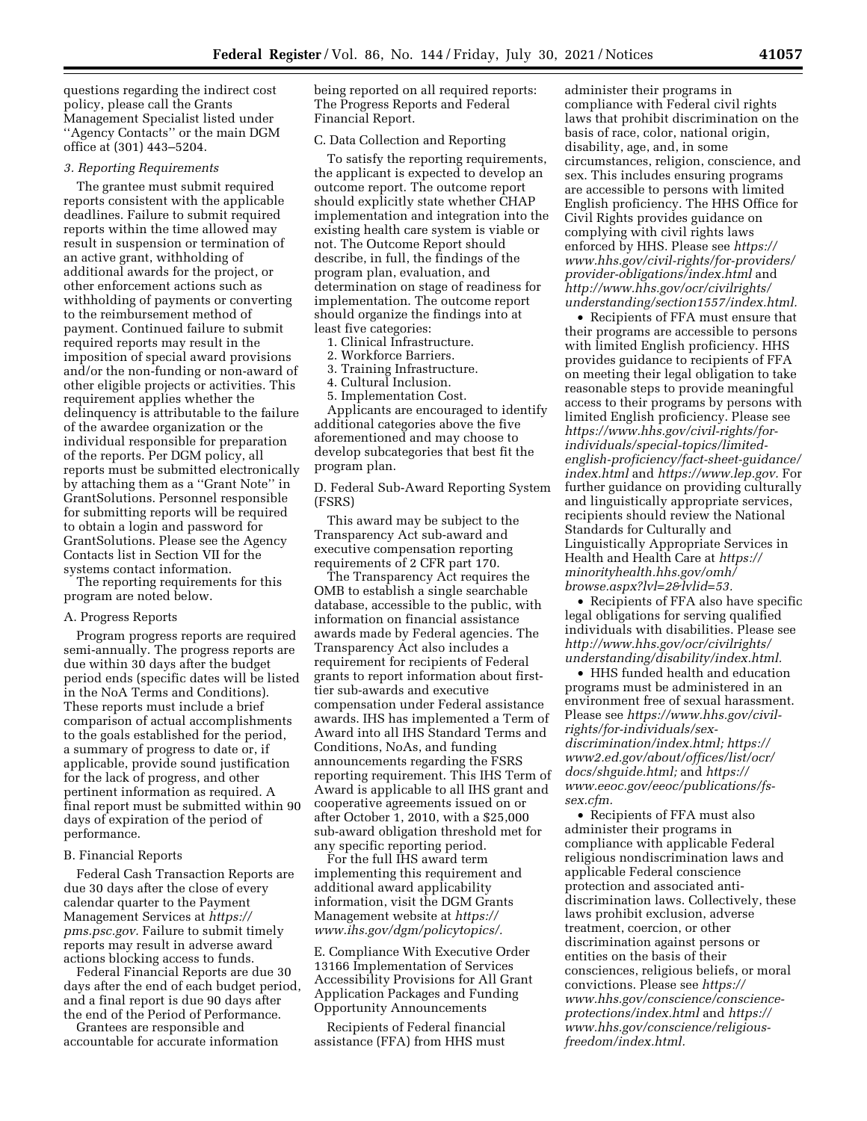questions regarding the indirect cost policy, please call the Grants Management Specialist listed under ''Agency Contacts'' or the main DGM office at (301) 443–5204.

# *3. Reporting Requirements*

The grantee must submit required reports consistent with the applicable deadlines. Failure to submit required reports within the time allowed may result in suspension or termination of an active grant, withholding of additional awards for the project, or other enforcement actions such as withholding of payments or converting to the reimbursement method of payment. Continued failure to submit required reports may result in the imposition of special award provisions and/or the non-funding or non-award of other eligible projects or activities. This requirement applies whether the delinquency is attributable to the failure of the awardee organization or the individual responsible for preparation of the reports. Per DGM policy, all reports must be submitted electronically by attaching them as a ''Grant Note'' in GrantSolutions. Personnel responsible for submitting reports will be required to obtain a login and password for GrantSolutions. Please see the Agency Contacts list in Section VII for the systems contact information.

The reporting requirements for this program are noted below.

#### A. Progress Reports

Program progress reports are required semi-annually. The progress reports are due within 30 days after the budget period ends (specific dates will be listed in the NoA Terms and Conditions). These reports must include a brief comparison of actual accomplishments to the goals established for the period, a summary of progress to date or, if applicable, provide sound justification for the lack of progress, and other pertinent information as required. A final report must be submitted within 90 days of expiration of the period of performance.

### B. Financial Reports

Federal Cash Transaction Reports are due 30 days after the close of every calendar quarter to the Payment Management Services at *[https://](https://pms.psc.gov) [pms.psc.gov.](https://pms.psc.gov)* Failure to submit timely reports may result in adverse award actions blocking access to funds.

Federal Financial Reports are due 30 days after the end of each budget period, and a final report is due 90 days after the end of the Period of Performance.

Grantees are responsible and accountable for accurate information being reported on all required reports: The Progress Reports and Federal Financial Report.

#### C. Data Collection and Reporting

To satisfy the reporting requirements, the applicant is expected to develop an outcome report. The outcome report should explicitly state whether CHAP implementation and integration into the existing health care system is viable or not. The Outcome Report should describe, in full, the findings of the program plan, evaluation, and determination on stage of readiness for implementation. The outcome report should organize the findings into at least five categories:

1. Clinical Infrastructure.

2. Workforce Barriers.

3. Training Infrastructure.

4. Cultural Inclusion. 5. Implementation Cost.

Applicants are encouraged to identify additional categories above the five aforementioned and may choose to develop subcategories that best fit the program plan.

D. Federal Sub-Award Reporting System (FSRS)

This award may be subject to the Transparency Act sub-award and executive compensation reporting requirements of 2 CFR part 170.

The Transparency Act requires the OMB to establish a single searchable database, accessible to the public, with information on financial assistance awards made by Federal agencies. The Transparency Act also includes a requirement for recipients of Federal grants to report information about firsttier sub-awards and executive compensation under Federal assistance awards. IHS has implemented a Term of Award into all IHS Standard Terms and Conditions, NoAs, and funding announcements regarding the FSRS reporting requirement. This IHS Term of Award is applicable to all IHS grant and cooperative agreements issued on or after October 1, 2010, with a \$25,000 sub-award obligation threshold met for any specific reporting period.

For the full IHS award term implementing this requirement and additional award applicability information, visit the DGM Grants Management website at *[https://](https://www.ihs.gov/dgm/policytopics/) [www.ihs.gov/dgm/policytopics/.](https://www.ihs.gov/dgm/policytopics/)* 

E. Compliance With Executive Order 13166 Implementation of Services Accessibility Provisions for All Grant Application Packages and Funding Opportunity Announcements

Recipients of Federal financial assistance (FFA) from HHS must

administer their programs in compliance with Federal civil rights laws that prohibit discrimination on the basis of race, color, national origin, disability, age, and, in some circumstances, religion, conscience, and sex. This includes ensuring programs are accessible to persons with limited English proficiency. The HHS Office for Civil Rights provides guidance on complying with civil rights laws enforced by HHS. Please see *[https://](https://www.hhs.gov/civil-rights/for-providers/provider-obligations/index.html) [www.hhs.gov/civil-rights/for-providers/](https://www.hhs.gov/civil-rights/for-providers/provider-obligations/index.html)  [provider-obligations/index.html](https://www.hhs.gov/civil-rights/for-providers/provider-obligations/index.html)* and *[http://www.hhs.gov/ocr/civilrights/](http://www.hhs.gov/ocr/civilrights/understanding/section1557/index.html)  [understanding/section1557/index.html.](http://www.hhs.gov/ocr/civilrights/understanding/section1557/index.html)* 

• Recipients of FFA must ensure that their programs are accessible to persons with limited English proficiency. HHS provides guidance to recipients of FFA on meeting their legal obligation to take reasonable steps to provide meaningful access to their programs by persons with limited English proficiency. Please see *https://www.hhs.gov/civil-rights/forindividuals/special-topics/limited[english-proficiency/fact-sheet-guidance/](https://www.hhs.gov/civil-rights/for-individuals/special-topics/limited-english-proficiency/fact-sheet-guidance/index.html)  [index.html](https://www.hhs.gov/civil-rights/for-individuals/special-topics/limited-english-proficiency/fact-sheet-guidance/index.html)* and *[https://www.lep.gov.](https://www.lep.gov)* For further guidance on providing culturally and linguistically appropriate services, recipients should review the National Standards for Culturally and Linguistically Appropriate Services in Health and Health Care at *[https://](https://minorityhealth.hhs.gov/omh/browse.aspx?lvl=2&lvlid=53) [minorityhealth.hhs.gov/omh/](https://minorityhealth.hhs.gov/omh/browse.aspx?lvl=2&lvlid=53) [browse.aspx?lvl=2&lvlid=53.](https://minorityhealth.hhs.gov/omh/browse.aspx?lvl=2&lvlid=53)* 

• Recipients of FFA also have specific legal obligations for serving qualified individuals with disabilities. Please see *[http://www.hhs.gov/ocr/civilrights/](http://www.hhs.gov/ocr/civilrights/understanding/disability/index.html)  [understanding/disability/index.html.](http://www.hhs.gov/ocr/civilrights/understanding/disability/index.html)* 

• HHS funded health and education programs must be administered in an environment free of sexual harassment. Please see *[https://www.hhs.gov/civil](https://www.hhs.gov/civil-rights/for-individuals/sex-discrimination/index.html)[rights/for-individuals/sex](https://www.hhs.gov/civil-rights/for-individuals/sex-discrimination/index.html)[discrimination/index.html;](https://www.hhs.gov/civil-rights/for-individuals/sex-discrimination/index.html) [https://](https://www2.ed.gov/about/offices/list/ocr/docs/shguide.html) [www2.ed.gov/about/offices/list/ocr/](https://www2.ed.gov/about/offices/list/ocr/docs/shguide.html) [docs/shguide.html;](https://www2.ed.gov/about/offices/list/ocr/docs/shguide.html)* and *[https://](https://www.eeoc.gov/eeoc/publications/fs-sex.cfm) [www.eeoc.gov/eeoc/publications/fs](https://www.eeoc.gov/eeoc/publications/fs-sex.cfm)[sex.cfm.](https://www.eeoc.gov/eeoc/publications/fs-sex.cfm)* 

• Recipients of FFA must also administer their programs in compliance with applicable Federal religious nondiscrimination laws and applicable Federal conscience protection and associated antidiscrimination laws. Collectively, these laws prohibit exclusion, adverse treatment, coercion, or other discrimination against persons or entities on the basis of their consciences, religious beliefs, or moral convictions. Please see *[https://](https://www.hhs.gov/conscience/conscience-protections/index.html) [www.hhs.gov/conscience/conscience](https://www.hhs.gov/conscience/conscience-protections/index.html)[protections/index.html](https://www.hhs.gov/conscience/conscience-protections/index.html)* and *[https://](https://www.hhs.gov/conscience/religious-freedom/index.html) [www.hhs.gov/conscience/religious](https://www.hhs.gov/conscience/religious-freedom/index.html)[freedom/index.html.](https://www.hhs.gov/conscience/religious-freedom/index.html)*